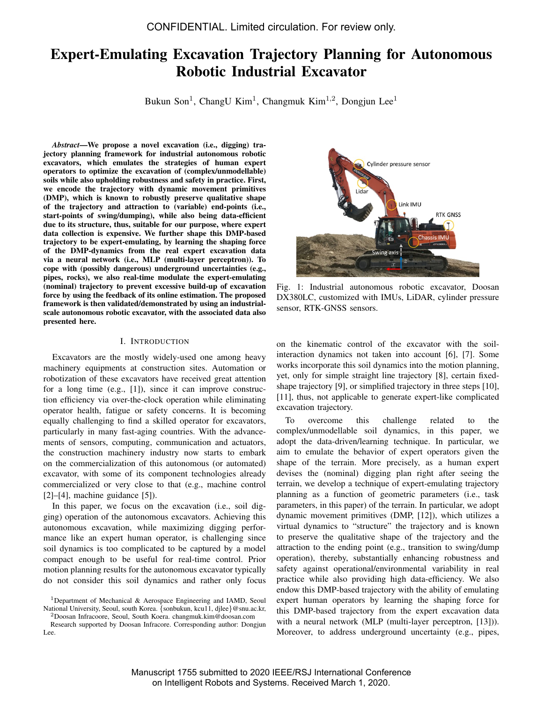# Expert-Emulating Excavation Trajectory Planning for Autonomous Robotic Industrial Excavator

Bukun Son<sup>1</sup>, ChangU Kim<sup>1</sup>, Changmuk Kim<sup>1,2</sup>, Dongjun Lee<sup>1</sup>

*Abstract*—We propose a novel excavation (i.e., digging) trajectory planning framework for industrial autonomous robotic excavators, which emulates the strategies of human expert operators to optimize the excavation of (complex/unmodellable) soils while also upholding robustness and safety in practice. First, we encode the trajectory with dynamic movement primitives (DMP), which is known to robustly preserve qualitative shape of the trajectory and attraction to (variable) end-points (i.e., start-points of swing/dumping), while also being data-efficient due to its structure, thus, suitable for our purpose, where expert data collection is expensive. We further shape this DMP-based trajectory to be expert-emulating, by learning the shaping force of the DMP-dynamics from the real expert excavation data via a neural network (i.e., MLP (multi-layer perceptron)). To cope with (possibly dangerous) underground uncertainties (e.g., pipes, rocks), we also real-time modulate the expert-emulating (nominal) trajectory to prevent excessive build-up of excavation force by using the feedback of its online estimation. The proposed framework is then validated/demonstrated by using an industrialscale autonomous robotic excavator, with the associated data also presented here.

#### I. INTRODUCTION

Excavators are the mostly widely-used one among heavy machinery equipments at construction sites. Automation or robotization of these excavators have received great attention for a long time (e.g., [1]), since it can improve construction efficiency via over-the-clock operation while eliminating operator health, fatigue or safety concerns. It is becoming equally challenging to find a skilled operator for excavators, particularly in many fast-aging countries. With the advancements of sensors, computing, communication and actuators, the construction machinery industry now starts to embark on the commercialization of this autonomous (or automated) excavator, with some of its component technologies already commercialized or very close to that (e.g., machine control  $[2]$ – $[4]$ , machine guidance  $[5]$ ).

In this paper, we focus on the excavation (i.e., soil digging) operation of the autonomous excavators. Achieving this autonomous excavation, while maximizing digging performance like an expert human operator, is challenging since soil dynamics is too complicated to be captured by a model compact enough to be useful for real-time control. Prior motion planning results for the autonomous excavator typically do not consider this soil dynamics and rather only focus

<sup>1</sup>Department of Mechanical & Aerospace Engineering and IAMD, Seoul National University, Seoul, south Korea. {sonbukun, kcu11, djlee}@snu.ac.kr, <sup>2</sup>Doosan Infracoore, Seoul, South Koera. changmuk.kim@doosan.com

Research supported by Doosan Infracore. Corresponding author: Dongjun Lee.



Fig. 1: Industrial autonomous robotic excavator, Doosan DX380LC, customized with IMUs, LiDAR, cylinder pressure sensor, RTK-GNSS sensors.

on the kinematic control of the excavator with the soilinteraction dynamics not taken into account [6], [7]. Some works incorporate this soil dynamics into the motion planning, yet, only for simple straight line trajectory [8], certain fixedshape trajectory [9], or simplified trajectory in three steps [10], [11], thus, not applicable to generate expert-like complicated excavation trajectory.

To overcome this challenge related to the complex/unmodellable soil dynamics, in this paper, we adopt the data-driven/learning technique. In particular, we aim to emulate the behavior of expert operators given the shape of the terrain. More precisely, as a human expert devises the (nominal) digging plan right after seeing the terrain, we develop a technique of expert-emulating trajectory planning as a function of geometric parameters (i.e., task parameters, in this paper) of the terrain. In particular, we adopt dynamic movement primitives (DMP, [12]), which utilizes a virtual dynamics to "structure" the trajectory and is known to preserve the qualitative shape of the trajectory and the attraction to the ending point (e.g., transition to swing/dump operation), thereby, substantially enhancing robustness and safety against operational/environmental variability in real practice while also providing high data-efficiency. We also endow this DMP-based trajectory with the ability of emulating expert human operators by learning the shaping force for this DMP-based trajectory from the expert excavation data with a neural network (MLP (multi-layer perceptron, [13])). Moreover, to address underground uncertainty (e.g., pipes,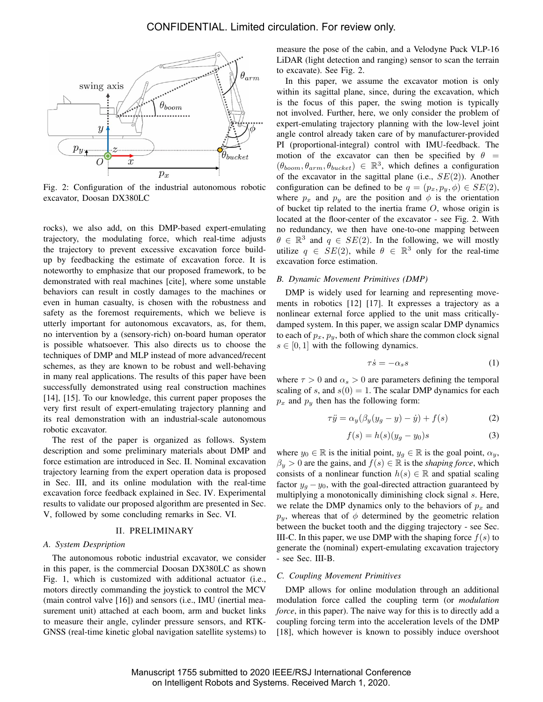

Fig. 2: Configuration of the industrial autonomous robotic excavator, Doosan DX380LC

rocks), we also add, on this DMP-based expert-emulating trajectory, the modulating force, which real-time adjusts the trajectory to prevent excessive excavation force buildup by feedbacking the estimate of excavation force. It is noteworthy to emphasize that our proposed framework, to be demonstrated with real machines [cite], where some unstable behaviors can result in costly damages to the machines or even in human casualty, is chosen with the robustness and safety as the foremost requirements, which we believe is utterly important for autonomous excavators, as, for them, no intervention by a (sensory-rich) on-board human operator is possible whatsoever. This also directs us to choose the techniques of DMP and MLP instead of more advanced/recent schemes, as they are known to be robust and well-behaving in many real applications. The results of this paper have been successfully demonstrated using real construction machines [14], [15]. To our knowledge, this current paper proposes the very first result of expert-emulating trajectory planning and its real demonstration with an industrial-scale autonomous robotic excavator.

The rest of the paper is organized as follows. System description and some preliminary materials about DMP and force estimation are introduced in Sec. II. Nominal excavation trajectory learning from the expert operation data is proposed in Sec. III, and its online modulation with the real-time excavation force feedback explained in Sec. IV. Experimental results to validate our proposed algorithm are presented in Sec. V, followed by some concluding remarks in Sec. VI.

#### II. PRELIMINARY

#### *A. System Despription*

The autonomous robotic industrial excavator, we consider in this paper, is the commercial Doosan DX380LC as shown Fig. 1, which is customized with additional actuator (i.e., motors directly commanding the joystick to control the MCV (main control valve [16]) and sensors (i.e., IMU (inertial measurement unit) attached at each boom, arm and bucket links to measure their angle, cylinder pressure sensors, and RTK-GNSS (real-time kinetic global navigation satellite systems) to

measure the pose of the cabin, and a Velodyne Puck VLP-16 LiDAR (light detection and ranging) sensor to scan the terrain to excavate). See Fig. 2.

In this paper, we assume the excavator motion is only within its sagittal plane, since, during the excavation, which is the focus of this paper, the swing motion is typically not involved. Further, here, we only consider the problem of expert-emulating trajectory planning with the low-level joint angle control already taken care of by manufacturer-provided PI (proportional-integral) control with IMU-feedback. The motion of the excavator can then be specified by  $\theta =$  $(\theta_{boom}, \theta_{arm}, \theta_{bucket}) \in \mathbb{R}^3$ , which defines a configuration of the excavator in the sagittal plane (i.e.,  $SE(2)$ ). Another configuration can be defined to be  $q = (p_x, p_y, \phi) \in SE(2)$ , where  $p_x$  and  $p_y$  are the position and  $\phi$  is the orientation of bucket tip related to the inertia frame  $O$ , whose origin is located at the floor-center of the excavator - see Fig. 2. With no redundancy, we then have one-to-one mapping between  $\theta \in \mathbb{R}^3$  and  $q \in SE(2)$ . In the following, we will mostly utilize  $q \in SE(2)$ , while  $\theta \in \mathbb{R}^3$  only for the real-time excavation force estimation.

## *B. Dynamic Movement Primitives (DMP)*

DMP is widely used for learning and representing movements in robotics [12] [17]. It expresses a trajectory as a nonlinear external force applied to the unit mass criticallydamped system. In this paper, we assign scalar DMP dynamics to each of  $p_x$ ,  $p_y$ , both of which share the common clock signal  $s \in [0, 1]$  with the following dynamics.

$$
\tau \dot{s} = -\alpha_s s \tag{1}
$$

where  $\tau > 0$  and  $\alpha_s > 0$  are parameters defining the temporal scaling of s, and  $s(0) = 1$ . The scalar DMP dynamics for each  $p_x$  and  $p_y$  then has the following form:

$$
\tau \ddot{y} = \alpha_y (\beta_y (y_g - y) - \dot{y}) + f(s) \tag{2}
$$

$$
f(s) = h(s)(y_g - y_0)s
$$
\n(3)

where  $y_0 \in \mathbb{R}$  is the initial point,  $y_g \in \mathbb{R}$  is the goal point,  $\alpha_y$ ,  $\beta_y > 0$  are the gains, and  $f(s) \in \mathbb{R}$  is the *shaping force*, which consists of a nonlinear function  $h(s) \in \mathbb{R}$  and spatial scaling factor  $y_q - y_0$ , with the goal-directed attraction guaranteed by multiplying a monotonically diminishing clock signal s. Here, we relate the DMP dynamics only to the behaviors of  $p_x$  and  $p_y$ , whereas that of  $\phi$  determined by the geometric relation between the bucket tooth and the digging trajectory - see Sec. III-C. In this paper, we use DMP with the shaping force  $f(s)$  to generate the (nominal) expert-emulating excavation trajectory - see Sec. III-B.

## *C. Coupling Movement Primitives*

DMP allows for online modulation through an additional modulation force called the coupling term (or *modulation force*, in this paper). The naive way for this is to directly add a coupling forcing term into the acceleration levels of the DMP [18], which however is known to possibly induce overshoot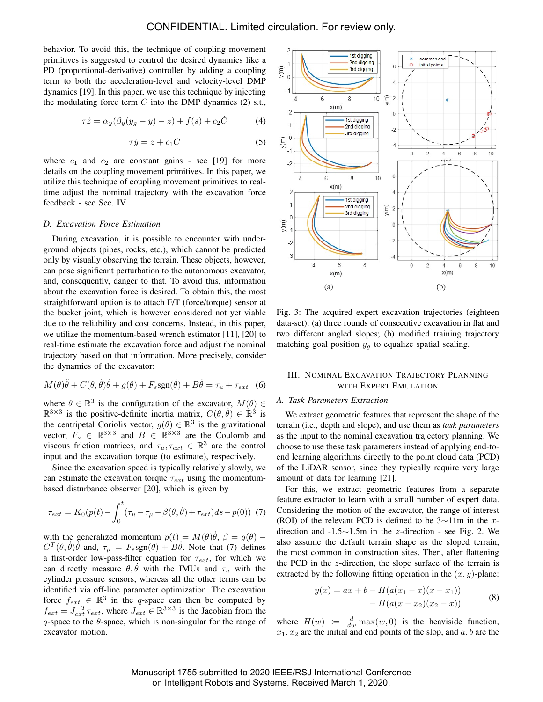behavior. To avoid this, the technique of coupling movement primitives is suggested to control the desired dynamics like a PD (proportional-derivative) controller by adding a coupling term to both the acceleration-level and velocity-level DMP dynamics [19]. In this paper, we use this technique by injecting the modulating force term  $C$  into the DMP dynamics (2) s.t.,

$$
\tau \dot{z} = \alpha_y(\beta_y(y_g - y) - z) + f(s) + c_2 \dot{C} \tag{4}
$$

$$
\tau \dot{y} = z + c_1 C \tag{5}
$$

where  $c_1$  and  $c_2$  are constant gains - see [19] for more details on the coupling movement primitives. In this paper, we utilize this technique of coupling movement primitives to realtime adjust the nominal trajectory with the excavation force feedback - see Sec. IV.

## *D. Excavation Force Estimation*

During excavation, it is possible to encounter with underground objects (pipes, rocks, etc.), which cannot be predicted only by visually observing the terrain. These objects, however, can pose significant perturbation to the autonomous excavator, and, consequently, danger to that. To avoid this, information about the excavation force is desired. To obtain this, the most straightforward option is to attach F/T (force/torque) sensor at the bucket joint, which is however considered not yet viable due to the reliability and cost concerns. Instead, in this paper, we utilize the momentum-based wrench estimator [11], [20] to real-time estimate the excavation force and adjust the nominal trajectory based on that information. More precisely, consider the dynamics of the excavator:

$$
M(\theta)\ddot{\theta} + C(\theta, \dot{\theta})\dot{\theta} + g(\theta) + F_s \text{sgn}(\dot{\theta}) + B\dot{\theta} = \tau_u + \tau_{ext} \quad (6)
$$

where  $\theta \in \mathbb{R}^3$  is the configuration of the excavator,  $M(\theta) \in$  $\mathbb{R}^{3\times3}$  is the positive-definite inertia matrix,  $C(\theta, \dot{\theta}) \in \mathbb{R}^3$  is the centripetal Coriolis vector,  $g(\theta) \in \mathbb{R}^3$  is the gravitational vector,  $F_s \in \mathbb{R}^{3 \times 3}$  and  $B \in \mathbb{R}^{3 \times 3}$  are the Coulomb and viscous friction matrices, and  $\tau_u, \tau_{ext} \in \mathbb{R}^3$  are the control input and the excavation torque (to estimate), respectively.

Since the excavation speed is typically relatively slowly, we can estimate the excavation torque  $\tau_{ext}$  using the momentumbased disturbance observer [20], which is given by

$$
\tau_{ext} = K_0(p(t) - \int_0^t (\tau_u - \tau_\mu - \beta(\theta, \dot{\theta}) + \tau_{ext}) ds - p(0))
$$
 (7)

with the generalized momentum  $p(t) = M(\theta)\dot{\theta}, \ \beta = g(\theta) - \dot{\theta}$  $C^{T}(\theta, \dot{\theta})\ddot{\theta}$  and,  $\tau_{\mu} = F_s$ sgn $(\dot{\theta}) + B\dot{\theta}$ . Note that (7) defines a first-order low-pass-filter equation for  $\tau_{ext}$ , for which we can directly measure  $\theta$ ,  $\theta$  with the IMUs and  $\tau$ <sub>u</sub> with the cylinder pressure sensors, whereas all the other terms can be identified via off-line parameter optimization. The excavation force  $f_{ext} \in \mathbb{R}^3$  in the q-space can then be computed by  $f_{ext} = J_{ext}^{-T} \tau_{ext}$ , where  $J_{ext} \in \mathbb{R}^{3 \times 3}$  is the Jacobian from the  $q$ -space to the  $\theta$ -space, which is non-singular for the range of excavator motion.



Fig. 3: The acquired expert excavation trajectories (eighteen data-set): (a) three rounds of consecutive excavation in flat and two different angled slopes; (b) modified training trajectory matching goal position  $y_q$  to equalize spatial scaling.

## III. NOMINAL EXCAVATION TRAJECTORY PLANNING WITH EXPERT EMULATION

## *A. Task Parameters Extraction*

We extract geometric features that represent the shape of the terrain (i.e., depth and slope), and use them as *task parameters* as the input to the nominal excavation trajectory planning. We choose to use these task parameters instead of applying end-toend learning algorithms directly to the point cloud data (PCD) of the LiDAR sensor, since they typically require very large amount of data for learning [21].

For this, we extract geometric features from a separate feature extractor to learn with a small number of expert data. Considering the motion of the excavator, the range of interest (ROI) of the relevant PCD is defined to be  $3\sim11$ m in the xdirection and -1.5∼1.5m in the z-direction - see Fig. 2. We also assume the default terrain shape as the sloped terrain, the most common in construction sites. Then, after flattening the PCD in the z-direction, the slope surface of the terrain is extracted by the following fitting operation in the  $(x, y)$ -plane:

$$
y(x) = ax + b - H(a(x_1 - x)(x - x_1)) - H(a(x - x_2)(x_2 - x))
$$
\n(8)

where  $H(w) := \frac{d}{dw} \max(w, 0)$  is the heaviside function,  $x_1, x_2$  are the initial and end points of the slop, and  $a, b$  are the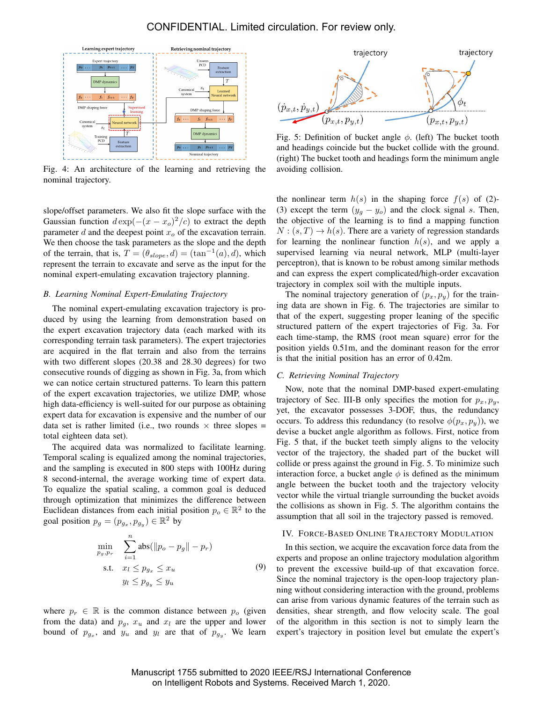

Fig. 4: An architecture of the learning and retrieving the nominal trajectory.

slope/offset parameters. We also fit the slope surface with the Gaussian function  $d \exp(-(x - x_o)^2/c)$  to extract the depth parameter  $d$  and the deepest point  $x<sub>o</sub>$  of the excavation terrain. We then choose the task parameters as the slope and the depth of the terrain, that is,  $T = (\theta_{slope}, d) = (\tan^{-1}(a), d)$ , which represent the terrain to excavate and serve as the input for the nominal expert-emulating excavation trajectory planning.

#### *B. Learning Nominal Expert-Emulating Trajectory*

The nominal expert-emulating excavation trajectory is produced by using the learning from demonstration based on the expert excavation trajectory data (each marked with its corresponding terrain task parameters). The expert trajectories are acquired in the flat terrain and also from the terrains with two different slopes (20.38 and 28.30 degrees) for two consecutive rounds of digging as shown in Fig. 3a, from which we can notice certain structured patterns. To learn this pattern of the expert excavation trajectories, we utilize DMP, whose high data-efficiency is well-suited for our purpose as obtaining expert data for excavation is expensive and the number of our data set is rather limited (i.e., two rounds  $\times$  three slopes = total eighteen data set).

The acquired data was normalized to facilitate learning. Temporal scaling is equalized among the nominal trajectories, and the sampling is executed in 800 steps with 100Hz during 8 second-internal, the average working time of expert data. To equalize the spatial scaling, a common goal is deduced through optimization that minimizes the difference between Euclidean distances from each initial position  $p_o \in \mathbb{R}^2$  to the goal position  $p_g = (p_{g_x}, p_{g_y}) \in \mathbb{R}^2$  by

$$
\min_{p_g, p_r} \sum_{i=1}^{n} \text{abs}(\|p_o - p_g\| - p_r)
$$
\n
$$
\text{s.t.} \quad x_l \le p_{g_x} \le x_u
$$
\n
$$
y_l \le p_{g_y} \le y_u
$$
\n
$$
(9)
$$

where  $p_r \in \mathbb{R}$  is the common distance between  $p_o$  (given from the data) and  $p_q$ ,  $x_u$  and  $x_l$  are the upper and lower bound of  $p_{g_x}$ , and  $y_u$  and  $y_l$  are that of  $p_{g_y}$ . We learn



Fig. 5: Definition of bucket angle  $\phi$ . (left) The bucket tooth and headings coincide but the bucket collide with the ground. (right) The bucket tooth and headings form the minimum angle avoiding collision.

the nonlinear term  $h(s)$  in the shaping force  $f(s)$  of (2)-(3) except the term  $(y_g - y_o)$  and the clock signal s. Then, the objective of the learning is to find a mapping function  $N:(s,T) \to h(s)$ . There are a variety of regression standards for learning the nonlinear function  $h(s)$ , and we apply a supervised learning via neural network, MLP (multi-layer perceptron), that is known to be robust among similar methods and can express the expert complicated/high-order excavation trajectory in complex soil with the multiple inputs.

The nominal trajectory generation of  $(p_x, p_y)$  for the training data are shown in Fig. 6. The trajectories are similar to that of the expert, suggesting proper leaning of the specific structured pattern of the expert trajectories of Fig. 3a. For each time-stamp, the RMS (root mean square) error for the position yields 0.51m, and the dominant reason for the error is that the initial position has an error of 0.42m.

#### *C. Retrieving Nominal Trajectory*

Now, note that the nominal DMP-based expert-emulating trajectory of Sec. III-B only specifies the motion for  $p_x, p_y$ , yet, the excavator possesses 3-DOF, thus, the redundancy occurs. To address this redundancy (to resolve  $\phi(p_x, p_y)$ ), we devise a bucket angle algorithm as follows. First, notice from Fig. 5 that, if the bucket teeth simply aligns to the velocity vector of the trajectory, the shaded part of the bucket will collide or press against the ground in Fig. 5. To minimize such interaction force, a bucket angle  $\phi$  is defined as the minimum angle between the bucket tooth and the trajectory velocity vector while the virtual triangle surrounding the bucket avoids the collisions as shown in Fig. 5. The algorithm contains the assumption that all soil in the trajectory passed is removed.

#### IV. FORCE-BASED ONLINE TRAJECTORY MODULATION

In this section, we acquire the excavation force data from the experts and propose an online trajectory modulation algorithm to prevent the excessive build-up of that excavation force. Since the nominal trajectory is the open-loop trajectory planning without considering interaction with the ground, problems can arise from various dynamic features of the terrain such as densities, shear strength, and flow velocity scale. The goal of the algorithm in this section is not to simply learn the expert's trajectory in position level but emulate the expert's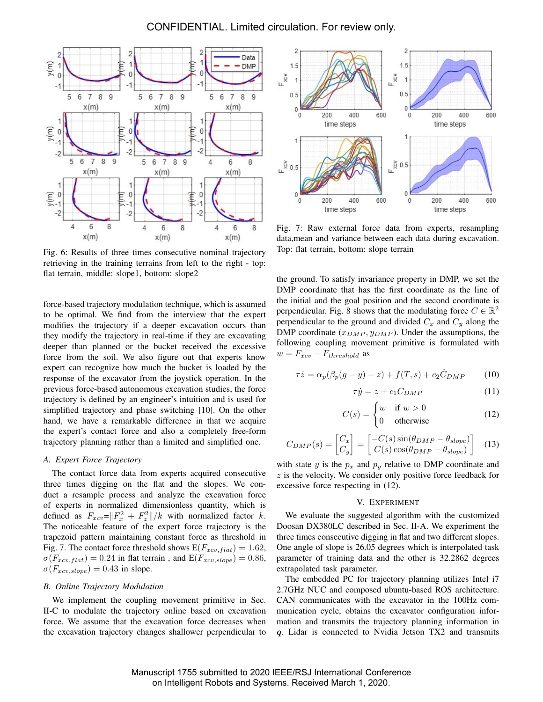

Fig. 6: Results of three times consecutive nominal trajectory retrieving in the training terrains from left to the right - top: flat terrain, middle: slope1, bottom: slope2

force-based trajectory modulation technique, which is assumed to be optimal. We find from the interview that the expert modifies the trajectory if a deeper excavation occurs than they modify the trajectory in real-time if they are excavating deeper than planned or the bucket received the excessive force from the soil. We also figure out that experts know expert can recognize how much the bucket is loaded by the response of the excavator from the joystick operation. In the previous force-based autonomous excavation studies, the force trajectory is defined by an engineer's intuition and is used for simplified trajectory and phase switching [10]. On the other hand, we have a remarkable difference in that we acquire the expert's contact force and also a completely free-form trajectory planning rather than a limited and simplified one.

#### *A. Expert Force Trajectory*

The contact force data from experts acquired consecutive three times digging on the flat and the slopes. We conduct a resample process and analyze the excavation force of experts in normalized dimensionless quantity, which is defined as  $F_{xcv} = ||F_x^2 + F_z^2||/k$  with normalized factor k. The noticeable feature of the expert force trajectory is the trapezoid pattern maintaining constant force as threshold in Fig. 7. The contact force threshold shows  $E(F_{xcv,flat}) = 1.62$ ,  $\sigma(F_{xcv,flat}) = 0.24$  in flat terrain, and  $E(F_{xcv,slope}) = 0.86$ ,  $\sigma(F_{xcv, slope}) = 0.43$  in slope.

#### *B. Online Trajectory Modulation*

We implement the coupling movement primitive in Sec. II-C to modulate the trajectory online based on excavation force. We assume that the excavation force decreases when the excavation trajectory changes shallower perpendicular to



Fig. 7: Raw external force data from experts, resampling data,mean and variance between each data during excavation. Top: flat terrain, bottom: slope terrain

the ground. To satisfy invariance property in DMP, we set the DMP coordinate that has the first coordinate as the line of the initial and the goal position and the second coordinate is perpendicular. Fig. 8 shows that the modulating force  $C \in \mathbb{R}^2$ perpendicular to the ground and divided  $C_x$  and  $C_y$  along the DMP coordinate  $(x_{DMP}, y_{DMP})$ . Under the assumptions, the following coupling movement primitive is formulated with  $w = F_{xcv} - F_{threshold}$  as

$$
\tau \dot{z} = \alpha_p(\beta_p(g - y) - z) + f(T, s) + c_2 \dot{C}_{DMP} \tag{10}
$$

$$
\tau \dot{y} = z + c_1 C_{DMP} \tag{11}
$$

$$
C(s) = \begin{cases} w & \text{if } w > 0\\ 0 & \text{otherwise} \end{cases}
$$
 (12)

$$
C_{DMP}(s) = \begin{bmatrix} C_x \\ C_y \end{bmatrix} = \begin{bmatrix} -C(s)\sin(\theta_{DMP} - \theta_{slope}) \\ C(s)\cos(\theta_{DMP} - \theta_{slope}) \end{bmatrix}
$$
(13)

with state y is the  $p_x$  and  $p_y$  relative to DMP coordinate and  $z$  is the velocity. We consider only positive force feedback for excessive force respecting in (12).

#### V. EXPERIMENT

We evaluate the suggested algorithm with the customized Doosan DX380LC described in Sec. II-A. We experiment the three times consecutive digging in flat and two different slopes. One angle of slope is 26.05 degrees which is interpolated task parameter of training data and the other is 32.2862 degrees extrapolated task parameter.

The embedded PC for trajectory planning utilizes Intel i7 2.7GHz NUC and composed ubuntu-based ROS architecture. CAN communicates with the excavator in the 100Hz communication cycle, obtains the excavator configuration information and transmits the trajectory planning information in q. Lidar is connected to Nvidia Jetson TX2 and transmits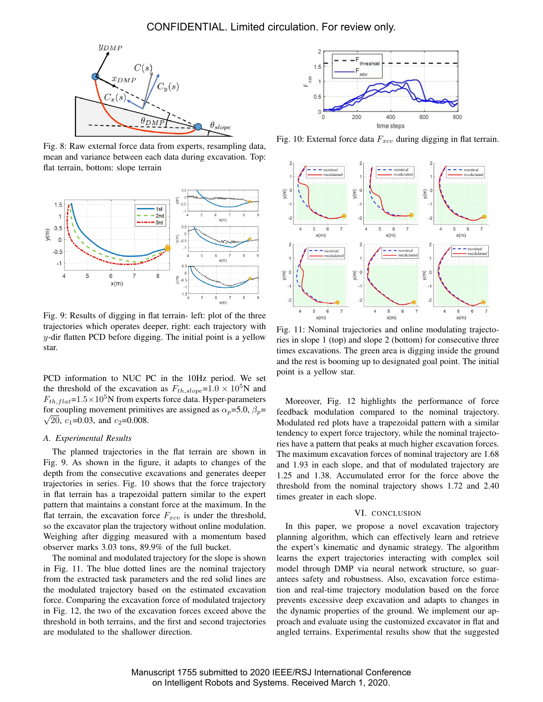

Fig. 8: Raw external force data from experts, resampling data, mean and variance between each data during excavation. Top: flat terrain, bottom: slope terrain



Fig. 9: Results of digging in flat terrain- left: plot of the three trajectories which operates deeper, right: each trajectory with  $y$ -dir flatten PCD before digging. The initial point is a yellow star.

PCD information to NUC PC in the 10Hz period. We set the threshold of the excavation as  $F_{th, slope} = 1.0 \times 10^5$ N and  $F_{th, flat}$ =1.5×10<sup>5</sup>N from experts force data. Hyper-parameters for coupling movement primitives are assigned as  $\alpha_p = 5.0$ ,  $\beta_p =$  $\sqrt{20}$ , c<sub>1</sub>=0.03, and c<sub>2</sub>=0.008.

## *A. Experimental Results*

The planned trajectories in the flat terrain are shown in Fig. 9. As shown in the figure, it adapts to changes of the depth from the consecutive excavations and generates deeper trajectories in series. Fig. 10 shows that the force trajectory in flat terrain has a trapezoidal pattern similar to the expert pattern that maintains a constant force at the maximum. In the flat terrain, the excavation force  $F_{xcv}$  is under the threshold, so the excavator plan the trajectory without online modulation. Weighing after digging measured with a momentum based observer marks 3.03 tons, 89.9% of the full bucket.

The nominal and modulated trajectory for the slope is shown in Fig. 11. The blue dotted lines are the nominal trajectory from the extracted task parameters and the red solid lines are the modulated trajectory based on the estimated excavation force. Comparing the excavation force of modulated trajectory in Fig. 12, the two of the excavation forces exceed above the threshold in both terrains, and the first and second trajectories are modulated to the shallower direction.



Fig. 10: External force data  $F_{xcv}$  during digging in flat terrain.



Fig. 11: Nominal trajectories and online modulating trajectories in slope 1 (top) and slope 2 (bottom) for consecutive three times excavations. The green area is digging inside the ground and the rest is booming up to designated goal point. The initial point is a yellow star.

Moreover, Fig. 12 highlights the performance of force feedback modulation compared to the nominal trajectory. Modulated red plots have a trapezoidal pattern with a similar tendency to expert force trajectory, while the nominal trajectories have a pattern that peaks at much higher excavation forces. The maximum excavation forces of nominal trajectory are 1.68 and 1.93 in each slope, and that of modulated trajectory are 1.25 and 1.38. Accumulated error for the force above the threshold from the nominal trajectory shows 1.72 and 2.40 times greater in each slope.

#### VI. CONCLUSION

In this paper, we propose a novel excavation trajectory planning algorithm, which can effectively learn and retrieve the expert's kinematic and dynamic strategy. The algorithm learns the expert trajectories interacting with complex soil model through DMP via neural network structure, so guarantees safety and robustness. Also, excavation force estimation and real-time trajectory modulation based on the force prevents excessive deep excavation and adapts to changes in the dynamic properties of the ground. We implement our approach and evaluate using the customized excavator in flat and angled terrains. Experimental results show that the suggested